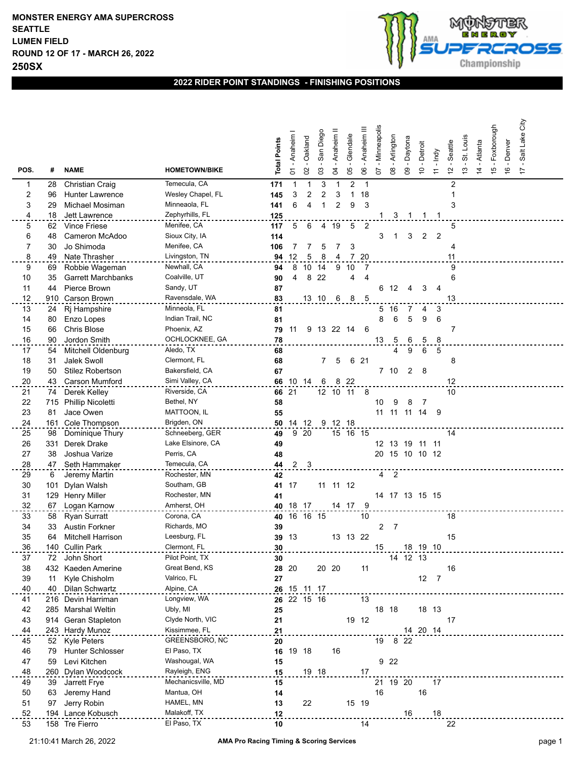

## **2022 RIDER POINT STANDINGS - FINISHING POSITIONS**

|          |          |                                       |                                     | <b>Total Points</b> | - Anaheim | Oakland        | San Diego    | Anaheim <sup>II</sup> | Glendale       | Anaheim III    | Minneapolis | Arlington | Daytona        | - Detroit      | - Indy         | Seattle                 | St. Louis     | - Atlanta      | - Foxborough  | -Denver       | Salt Lake City |  |
|----------|----------|---------------------------------------|-------------------------------------|---------------------|-----------|----------------|--------------|-----------------------|----------------|----------------|-------------|-----------|----------------|----------------|----------------|-------------------------|---------------|----------------|---------------|---------------|----------------|--|
| POS.     | #        | <b>NAME</b>                           | <b>HOMETOWN/BIKE</b>                |                     | 5         | $\mathsf{S}$   | $\mathbf{C}$ | 2                     | 80             | 80             | 5           | 80        | $\mathbf{g}$   | $\tilde{c}$    | $\overline{r}$ | $\frac{1}{2}$           | $\frac{3}{2}$ | $\overline{4}$ | $\frac{5}{2}$ | $\frac{6}{5}$ | $\overline{1}$ |  |
| 1        | 28       | <b>Christian Craig</b>                | Temecula, CA                        | 171                 | 1         | 1              | 3            | -1                    | $\overline{2}$ | $\mathbf{1}$   |             |           |                |                |                | $\overline{\mathbf{c}}$ |               |                |               |               |                |  |
| 2        | 96       | <b>Hunter Lawrence</b>                | Wesley Chapel, FL                   | 145                 | 3         | $\overline{c}$ | 2            | 3                     | $\mathbf{1}$   | 18             |             |           |                |                |                | 1                       |               |                |               |               |                |  |
| 3        | 29       | Michael Mosiman                       | Minneaola, FL<br>Zephyrhills, FL    | 141                 | 6         | 4              | 1            | 2                     | 9              | 3              |             |           |                |                |                | 3                       |               |                |               |               |                |  |
| 4        | 18       | Jett Lawrence<br><b>Vince Friese</b>  | Menifee, CA                         | 125                 |           |                |              |                       |                |                |             | 3         |                |                | -1             |                         |               |                |               |               |                |  |
| 5<br>6   | 62<br>48 | Cameron McAdoo                        | Sioux City, IA                      | 117<br>114          | 5         | 6              | 4            | 19                    | 5              | $\overline{2}$ | 3           | 1         | 3              | $\overline{2}$ | $\overline{2}$ | 5                       |               |                |               |               |                |  |
| 7        | 30       | Jo Shimoda                            | Menifee, CA                         | 106                 |           |                | 5            |                       | 3              |                |             |           |                |                |                | 4                       |               |                |               |               |                |  |
| $\bf{8}$ | 49       | Nate Thrasher                         | Livingston, TN                      | 94                  | 12        | 5              | 8            | 4                     | 7 20           |                |             |           |                |                |                | 11                      |               |                |               |               |                |  |
| 9        | 69       | Robbie Wageman                        | Newhall, CA                         | 94                  | 8         | 10             | 14           | 9                     | 10             |                |             |           |                |                |                | 9                       |               |                |               |               |                |  |
| 10       | 35       | <b>Garrett Marchbanks</b>             | Coalville, UT                       | 90                  | 4         | 8              | 22           |                       | 4              | 4              |             |           |                |                |                | 6                       |               |                |               |               |                |  |
| 11       | 44       | Pierce Brown                          | Sandy, UT                           | 87                  |           |                |              |                       |                |                | 6           | 12        | 4              | 3              | 4              |                         |               |                |               |               |                |  |
| 12       | 910      | <b>Carson Brown</b>                   | Ravensdale, WA                      | 83                  |           |                | 13 10        | 6                     | 8              | -5             |             |           |                |                |                | 13                      |               |                |               |               |                |  |
| 13       | 24       | Rj Hampshire                          | Minneola, FL                        | 81                  |           |                |              |                       |                |                | 5.          | - 16      | 7              | 4              | 3              |                         |               |                |               |               |                |  |
| 14       | 80       | Enzo Lopes                            | Indian Trail, NC                    | 81                  |           |                |              |                       |                |                | 8           | 6         | 5              | 9              | 6              |                         |               |                |               |               |                |  |
| 15       | 66       | <b>Chris Blose</b>                    | Phoenix, AZ                         | 79                  | 11        | 9              |              | 13 22 14              |                | 6              |             |           |                |                |                | 7                       |               |                |               |               |                |  |
| 16       | 90       | Jordon Smith                          | OCHLOCKNEE, GA                      | 78                  |           |                |              |                       |                |                | 13          | 5         | 6              | 5              | 8              |                         |               |                |               |               |                |  |
| 17       | 54       | Mitchell Oldenburg                    | Aledo, TX                           | 68                  |           |                |              |                       |                |                |             | 4         | 9              | 6              | 5              |                         |               |                |               |               |                |  |
| 18       | 31       | Jalek Swoll                           | Clermont, FL                        | 68                  |           |                | 7            | 5                     |                | 6 21           |             |           |                |                |                | 8                       |               |                |               |               |                |  |
| 19       | 50       | <b>Stilez Robertson</b>               | Bakersfield, CA                     | 67                  |           |                |              |                       |                |                |             | 7 10      | $\overline{c}$ | -8             |                |                         |               |                |               |               |                |  |
| 20       | 43       | <b>Carson Mumford</b>                 | Simi Valley, CA                     |                     |           | 66 10 14       | 6            | 8                     | - 22           |                |             |           |                |                |                | 12                      |               |                |               |               |                |  |
| 21       | 74       | Derek Kelley                          | Riverside, CA                       |                     | 66 21     |                |              | 12 10 11              |                | - 8            |             |           |                |                |                | 10                      |               |                |               |               |                |  |
| 22       | 715      | <b>Phillip Nicoletti</b>              | Bethel, NY                          | 58                  |           |                |              |                       |                |                | 10          | 9         | 8              | 7              |                |                         |               |                |               |               |                |  |
| 23       | 81       | Jace Owen                             | MATTOON, IL                         | 55                  |           |                |              |                       |                |                | 11          | 11        | 11             | 14             | 9              |                         |               |                |               |               |                |  |
| 24       |          | 161 Cole Thompson                     | Brigden, ON                         | 50                  |           | 14 12          |              | 9 12 18               |                |                |             |           |                |                |                |                         |               |                |               |               |                |  |
| 25       | 98       | Dominique Thury                       | Schneeberg, GER                     | 49                  |           | 9 20           |              |                       | 15 16 15       |                |             |           |                |                |                | 14                      |               |                |               |               |                |  |
| 26       | 331      | Derek Drake                           | Lake Elsinore, CA<br>Perris, CA     | 49                  |           |                |              |                       |                |                | 20          | 12 13 19  | 15 10 10       | 11 11          |                |                         |               |                |               |               |                |  |
| 27<br>28 | 38       | Joshua Varize<br>47 Seth Hammaker     | Temecula, CA                        | 48<br>44            |           | $2 \quad 3$    |              |                       |                |                |             |           |                |                | - 12           |                         |               |                |               |               |                |  |
| 29       | 6        | Jeremy Martin                         | Rochester, MN                       | 42                  |           |                |              |                       |                |                |             | 4 2       |                |                |                |                         |               |                |               |               |                |  |
| 30       | 101      | Dylan Walsh                           | Southam, GB                         | 41                  | 17        |                | 11           |                       | 11 12          |                |             |           |                |                |                |                         |               |                |               |               |                |  |
| 31       | 129      | <b>Henry Miller</b>                   | Rochester, MN                       | 41                  |           |                |              |                       |                |                |             |           | 14 17 13 15 15 |                |                |                         |               |                |               |               |                |  |
| 32       | 67       | Logan Karnow                          | Amherst, OH                         | 40                  |           | 18 17          |              |                       | 14 17          | 9              |             |           |                |                |                |                         |               |                |               |               |                |  |
| 33       | 58       | <b>Ryan Surratt</b>                   | Corona, CA                          | 40                  |           | 16 16 15       |              |                       |                | 10             |             |           |                |                |                | 18                      |               |                |               |               |                |  |
| 34       | 33       | <b>Austin Forkner</b>                 | Richards, MO                        | 39                  |           |                |              |                       |                |                | 2           | 7         |                |                |                |                         |               |                |               |               |                |  |
| 35       | 64       | <b>Mitchell Harrison</b>              | Leesburg, FL                        | 39                  | -13       |                |              |                       | 13 13 22       |                |             |           |                |                |                | 15                      |               |                |               |               |                |  |
| 36       |          | 140 Cullin Park                       | Clermont, FL                        | 30                  |           |                |              |                       |                |                |             |           |                | 18 19 10       |                |                         |               |                |               |               |                |  |
| 37       | 72       | John Short                            | Pilot Point, TX                     | 30                  |           |                |              |                       |                |                |             |           | 14 12 13       |                |                |                         |               |                |               |               |                |  |
| 38       |          | 432 Kaeden Amerine                    | Great Bend, KS                      |                     | 28 20     |                | 20 20        |                       |                | 11             |             |           |                |                |                | 16                      |               |                |               |               |                |  |
| 39       | 11       | Kyle Chisholm                         | Valrico, FL                         | 27                  |           |                |              |                       |                |                |             |           |                | 12             | $\overline{7}$ |                         |               |                |               |               |                |  |
| 40       | 40       | Dilan Schwartz                        | Alpine, CA                          |                     |           | 26 15 11 17    |              |                       |                |                |             |           |                |                |                |                         |               |                |               |               |                |  |
| 41       | 216      | Devin Harriman                        | Longview, WA                        |                     |           | 26 22 15 16    |              |                       |                | 13             |             |           |                |                |                |                         |               |                |               |               |                |  |
| 42       |          | 285 Marshal Weltin                    | Ubly, MI                            | 25                  |           |                |              |                       |                |                | 18 18       |           |                |                | 18 13          |                         |               |                |               |               |                |  |
| 43       |          | 914 Geran Stapleton                   | Clyde North, VIC                    | 21                  |           |                |              |                       |                | 19 12          |             |           |                |                |                | 17                      |               |                |               |               |                |  |
| 44       |          | 243 Hardy Munoz                       | Kissimmee, FL                       | 21                  |           |                |              |                       |                |                |             |           |                | 14 20 14       |                |                         |               |                |               |               |                |  |
| 45       |          | 52 Kyle Peters                        | GREENSBORO, NC                      | 20                  |           |                |              |                       |                |                | 19          | 8 22      |                |                |                |                         |               |                |               |               |                |  |
| 46       | 79       | Hunter Schlosser                      | El Paso, TX                         | 16                  |           | 19 18          |              | 16                    |                |                |             |           |                |                |                |                         |               |                |               |               |                |  |
| 47       | 59       | Levi Kitchen                          | Washougal, WA                       | 15                  |           |                |              |                       |                |                |             | 9 22      |                |                |                |                         |               |                |               |               |                |  |
| 48<br>49 |          | 260 Dylan Woodcock<br>39 Jarrett Frye | Rayleigh, ENG<br>Mechanicsville, MD | 15<br>15            |           |                | 19 18        |                       |                | 17             |             | 21 19 20  |                |                | 17             |                         |               |                |               |               |                |  |
| 50       | 63       | Jeremy Hand                           | Mantua, OH                          | 14                  |           |                |              |                       |                |                | 16          |           |                | 16             |                |                         |               |                |               |               |                |  |
| 51       | 97       | Jerry Robin                           | HAMEL, MN                           | 13                  |           | 22             |              |                       |                | 15 19          |             |           |                |                |                |                         |               |                |               |               |                |  |
| 52       |          | 194 Lance Kobusch                     | Malakoff, TX                        | 12                  |           |                |              |                       |                |                |             |           | 16             |                | $18$           |                         |               |                |               |               |                |  |
| 53       |          | 158 Tre Fierro                        | El Paso, TX                         | 10                  |           |                |              |                       |                | 14             |             |           |                |                |                | 22                      |               |                |               |               |                |  |